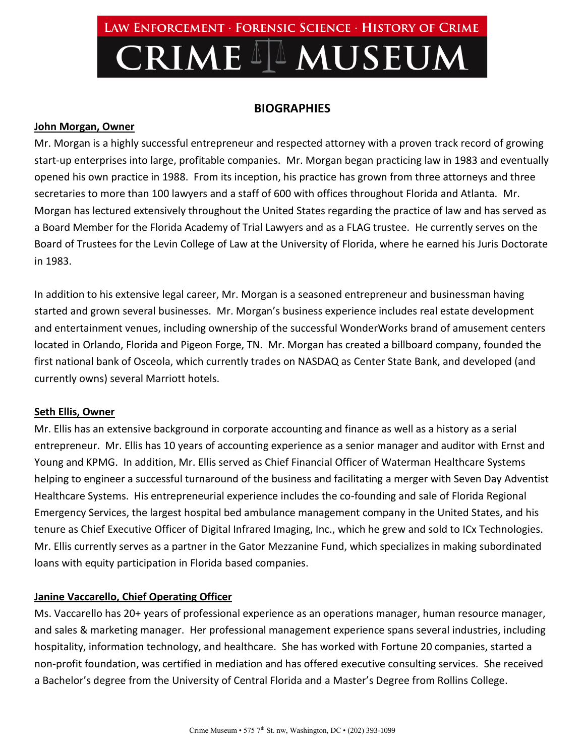# Law Enforcement · Forensic Science · History of Crime **CRIME II MUSEUM**

# **BIOGRAPHIES**

#### **John Morgan, Owner**

Mr. Morgan is a highly successful entrepreneur and respected attorney with a proven track record of growing start-up enterprises into large, profitable companies. Mr. Morgan began practicing law in 1983 and eventually opened his own practice in 1988. From its inception, his practice has grown from three attorneys and three secretaries to more than 100 lawyers and a staff of 600 with offices throughout Florida and Atlanta. Mr. Morgan has lectured extensively throughout the United States regarding the practice of law and has served as a Board Member for the Florida Academy of Trial Lawyers and as a FLAG trustee. He currently serves on the Board of Trustees for the Levin College of Law at the University of Florida, where he earned his Juris Doctorate in 1983.

In addition to his extensive legal career, Mr. Morgan is a seasoned entrepreneur and businessman having started and grown several businesses. Mr. Morgan's business experience includes real estate development and entertainment venues, including ownership of the successful WonderWorks brand of amusement centers located in Orlando, Florida and Pigeon Forge, TN. Mr. Morgan has created a billboard company, founded the first national bank of Osceola, which currently trades on NASDAQ as Center State Bank, and developed (and currently owns) several Marriott hotels.

## **Seth Ellis, Owner**

Mr. Ellis has an extensive background in corporate accounting and finance as well as a history as a serial entrepreneur. Mr. Ellis has 10 years of accounting experience as a senior manager and auditor with Ernst and Young and KPMG. In addition, Mr. Ellis served as Chief Financial Officer of Waterman Healthcare Systems helping to engineer a successful turnaround of the business and facilitating a merger with Seven Day Adventist Healthcare Systems. His entrepreneurial experience includes the co-founding and sale of Florida Regional Emergency Services, the largest hospital bed ambulance management company in the United States, and his tenure as Chief Executive Officer of Digital Infrared Imaging, Inc., which he grew and sold to ICx Technologies. Mr. Ellis currently serves as a partner in the Gator Mezzanine Fund, which specializes in making subordinated loans with equity participation in Florida based companies.

## **Janine Vaccarello, Chief Operating Officer**

Ms. Vaccarello has 20+ years of professional experience as an operations manager, human resource manager, and sales & marketing manager. Her professional management experience spans several industries, including hospitality, information technology, and healthcare. She has worked with Fortune 20 companies, started a non-profit foundation, was certified in mediation and has offered executive consulting services. She received a Bachelor's degree from the University of Central Florida and a Master's Degree from Rollins College.